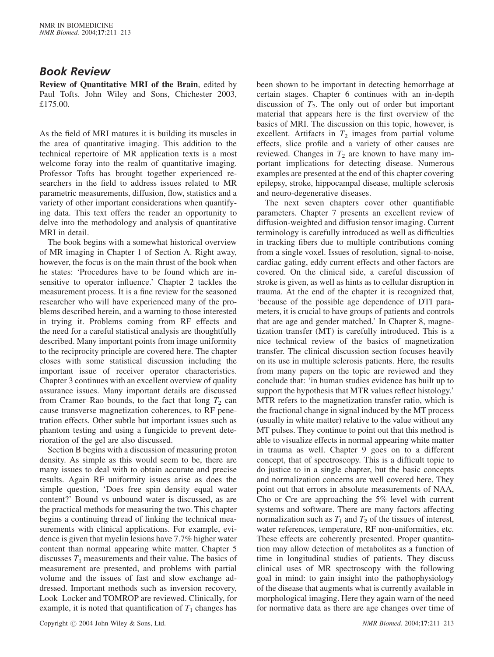## Book Review

Review of Quantitative MRI of the Brain, edited by Paul Tofts. John Wiley and Sons, Chichester 2003, £175.00.

As the field of MRI matures it is building its muscles in the area of quantitative imaging. This addition to the technical repertoire of MR application texts is a most welcome foray into the realm of quantitative imaging. Professor Tofts has brought together experienced researchers in the field to address issues related to MR parametric measurements, diffusion, flow, statistics and a variety of other important considerations when quantifying data. This text offers the reader an opportunity to delve into the methodology and analysis of quantitative MRI in detail.

The book begins with a somewhat historical overview of MR imaging in Chapter 1 of Section A. Right away, however, the focus is on the main thrust of the book when he states: 'Procedures have to be found which are insensitive to operator influence.' Chapter 2 tackles the measurement process. It is a fine review for the seasoned researcher who will have experienced many of the problems described herein, and a warning to those interested in trying it. Problems coming from RF effects and the need for a careful statistical analysis are thoughtfully described. Many important points from image uniformity to the reciprocity principle are covered here. The chapter closes with some statistical discussion including the important issue of receiver operator characteristics. Chapter 3 continues with an excellent overview of quality assurance issues. Many important details are discussed from Cramer–Rao bounds, to the fact that long  $T_2$  can cause transverse magnetization coherences, to RF penetration effects. Other subtle but important issues such as phantom testing and using a fungicide to prevent deterioration of the gel are also discussed.

Section B begins with a discussion of measuring proton density. As simple as this would seem to be, there are many issues to deal with to obtain accurate and precise results. Again RF uniformity issues arise as does the simple question, 'Does free spin density equal water content?' Bound vs unbound water is discussed, as are the practical methods for measuring the two. This chapter begins a continuing thread of linking the technical measurements with clinical applications. For example, evidence is given that myelin lesions have 7.7% higher water content than normal appearing white matter. Chapter 5 discusses  $T_1$  measurements and their value. The basics of measurement are presented, and problems with partial volume and the issues of fast and slow exchange addressed. Important methods such as inversion recovery, Look–Locker and TOMROP are reviewed. Clinically, for example, it is noted that quantification of  $T_1$  changes has been shown to be important in detecting hemorrhage at certain stages. Chapter 6 continues with an in-depth discussion of  $T_2$ . The only out of order but important material that appears here is the first overview of the basics of MRI. The discussion on this topic, however, is excellent. Artifacts in  $T_2$  images from partial volume effects, slice profile and a variety of other causes are reviewed. Changes in  $T_2$  are known to have many important implications for detecting disease. Numerous examples are presented at the end of this chapter covering epilepsy, stroke, hippocampal disease, multiple sclerosis and neuro-degenerative diseases.

The next seven chapters cover other quantifiable parameters. Chapter 7 presents an excellent review of diffusion-weighted and diffusion tensor imaging. Current terminology is carefully introduced as well as difficulties in tracking fibers due to multiple contributions coming from a single voxel. Issues of resolution, signal-to-noise, cardiac gating, eddy current effects and other factors are covered. On the clinical side, a careful discussion of stroke is given, as well as hints as to cellular disruption in trauma. At the end of the chapter it is recognized that, 'because of the possible age dependence of DTI parameters, it is crucial to have groups of patients and controls that are age and gender matched.' In Chapter 8, magnetization transfer (MT) is carefully introduced. This is a nice technical review of the basics of magnetization transfer. The clinical discussion section focuses heavily on its use in multiple sclerosis patients. Here, the results from many papers on the topic are reviewed and they conclude that: 'in human studies evidence has built up to support the hypothesis that MTR values reflect histology.' MTR refers to the magnetization transfer ratio, which is the fractional change in signal induced by the MT process (usually in white matter) relative to the value without any MT pulses. They continue to point out that this method is able to visualize effects in normal appearing white matter in trauma as well. Chapter 9 goes on to a different concept, that of spectroscopy. This is a difficult topic to do justice to in a single chapter, but the basic concepts and normalization concerns are well covered here. They point out that errors in absolute measurements of NAA, Cho or Cre are approaching the 5% level with current systems and software. There are many factors affecting normalization such as  $T_1$  and  $T_2$  of the tissues of interest, water references, temperature, RF non-uniformities, etc. These effects are coherently presented. Proper quantitation may allow detection of metabolites as a function of time in longitudinal studies of patients. They discuss clinical uses of MR spectroscopy with the following goal in mind: to gain insight into the pathophysiology of the disease that augments what is currently available in morphological imaging. Here they again warn of the need for normative data as there are age changes over time of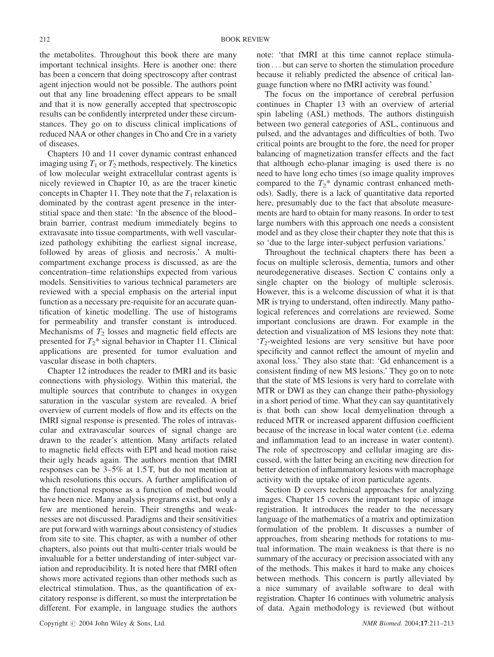the metabolites. Throughout this book there are many important technical insights. Here is another one: there has been a concern that doing spectroscopy after contrast agent injection would not be possible. The authors point out that any line broadening effect appears to be small and that it is now generally accepted that spectroscopic results can be confidently interpreted under these circumstances. They go on to discuss clinical implications of reduced NAA or other changes in Cho and Cre in a variety of diseases.

Chapters 10 and 11 cover dynamic contrast enhanced imaging using  $T_1$  or  $T_2$  methods, respectively. The kinetics of low molecular weight extracellular contrast agents is nicely reviewed in Chapter 10, as are the tracer kinetic concepts in Chapter 11. They note that the  $T_1$  relaxation is dominated by the contrast agent presence in the interstitial space and then state: 'In the absence of the blood– brain barrier, contrast medium immediately begins to extravasate into tissue compartments, with well vascularized pathology exhibiting the earliest signal increase, followed by areas of gliosis and necrosis.' A multicompartment exchange process is discussed, as are the concentration–time relationships expected from various models. Sensitivities to various technical parameters are reviewed with a special emphasis on the arterial input function as a necessary pre-requisite for an accurate quantification of kinetic modelling. The use of histograms for permeability and transfer constant is introduced. Mechanisms of  $T_2$  losses and magnetic field effects are presented for  $T_2^*$  signal behavior in Chapter 11. Clinical applications are presented for tumor evaluation and vascular disease in both chapters.

Chapter 12 introduces the reader to fMRI and its basic connections with physiology. Within this material, the multiple sources that contribute to changes in oxygen saturation in the vascular system are revealed. A brief overview of current models of flow and its effects on the fMRI signal response is presented. The roles of intravascular and extravascular sources of signal change are drawn to the reader's attention. Many artifacts related to magnetic field effects with EPI and head motion raise their ugly heads again. The authors mention that fMRI responses can be 3–5% at 1.5 T, but do not mention at which resolutions this occurs. A further amplification of the functional response as a function of method would have been nice. Many analysis programs exist, but only a few are mentioned herein. Their strengths and weaknesses are not discussed. Paradigms and their sensitivities are put forward with warnings about consistency of studies from site to site. This chapter, as with a number of other chapters, also points out that multi-center trials would be invaluable for a better understanding of inter-subject variation and reproducibility. It is noted here that fMRI often shows more activated regions than other methods such as electrical stimulation. Thus, as the quantification of excitatory response is different, so must the interpretation be different. For example, in language studies the authors

note: 'that fMRI at this time cannot replace stimulation ... but can serve to shorten the stimulation procedure because it reliably predicted the absence of critical language function where no fMRI activity was found.'

The focus on the importance of cerebral perfusion continues in Chapter 13 with an overview of arterial spin labeling (ASL) methods. The authors distinguish between two general categories of ASL, continuous and pulsed, and the advantages and difficulties of both. Two critical points are brought to the fore, the need for proper balancing of magnetization transfer effects and the fact that although echo-planar imaging is used there is no need to have long echo times (so image quality improves compared to the  $T_2^*$  dynamic contrast enhanced methods). Sadly, there is a lack of quantitative data reported here, presumably due to the fact that absolute measurements are hard to obtain for many reasons. In order to test large numbers with this approach one needs a consistent model and as they close their chapter they note that this is so 'due to the large inter-subject perfusion variations.'

Throughout the technical chapters there has been a focus on multiple sclerosis, dementia, tumors and other neurodegenerative diseases. Section C contains only a single chapter on the biology of multiple sclerosis. However, this is a welcome discussion of what it is that MR is trying to understand, often indirectly. Many pathological references and correlations are reviewed. Some important conclusions are drawn. For example in the detection and visualization of MS lesions they note that:  $T_2$ -weighted lesions are very sensitive but have poor specificity and cannot reflect the amount of myelin and axonal loss.' They also state that: 'Gd enhancement is a consistent finding of new MS lesions.' They go on to note that the state of MS lesions is very hard to correlate with MTR or DWI as they can change their patho-physiology in a short period of time. What they can say quantitatively is that both can show local demyelination through a reduced MTR or increased apparent diffusion coefficient because of the increase in local water content (i.e. edema and inflammation lead to an increase in water content). The role of spectroscopy and cellular imaging are discussed, with the latter being an exciting new direction for better detection of inflammatory lesions with macrophage activity with the uptake of iron particulate agents.

Section D covers technical approaches for analyzing images. Chapter 15 covers the important topic of image registration. It introduces the reader to the necessary language of the mathematics of a matrix and optimization formulation of the problem. It discusses a number of approaches, from shearing methods for rotations to mutual information. The main weakness is that there is no summary of the accuracy or precision associated with any of the methods. This makes it hard to make any choices between methods. This concern is partly alleviated by a nice summary of available software to deal with registration. Chapter 16 continues with volumetric analysis of data. Again methodology is reviewed (but without